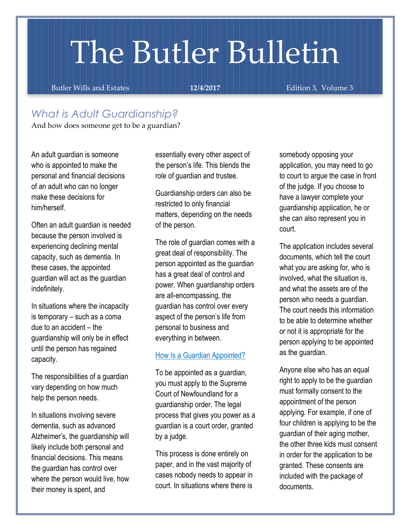# The Butler Bulletin

Butler Wills and Estates **12/4/2017 12/4/2017** Edition 3, Volume 3

### *What is Adult Guardianship?*

And how does someone get to be a guardian?

An adult guardian is someone who is appointed to make the personal and financial decisions of an adult who can no longer make these decisions for him/herself.

Often an adult guardian is needed because the person involved is experiencing declining mental capacity, such as dementia. In these cases, the appointed guardian will act as the guardian indefinitely.

In situations where the incapacity is temporary – such as a coma due to an accident – the guardianship will only be in effect until the person has regained capacity.

The responsibilities of a guardian vary depending on how much help the person needs.

In situations involving severe dementia, such as advanced Alzheimer's, the guardianship will likely include both personal and financial decisions. This means the guardian has control over where the person would live, how their money is spent, and

essentially every other aspect of the person's life. This blends the role of guardian and trustee.

Guardianship orders can also be restricted to only financial matters, depending on the needs of the person.

The role of guardian comes with a great deal of responsibility. The person appointed as the guardian has a great deal of control and power. When guardianship orders are all-encompassing, the guardian has control over every aspect of the person's life from personal to business and everything in between.

#### How Is a Guardian Appointed?

To be appointed as a guardian, you must apply to the Supreme Court of Newfoundland for a guardianship order. The legal process that gives you power as a guardian is a court order, granted by a judge.

This process is done entirely on paper, and in the vast majority of cases nobody needs to appear in court. In situations where there is

somebody opposing your application, you may need to go to court to argue the case in front of the judge. If you choose to have a lawyer complete your guardianship application, he or she can also represent you in court.

The application includes several documents, which tell the court what you are asking for, who is involved, what the situation is, and what the assets are of the person who needs a guardian. The court needs this information to be able to determine whether or not it is appropriate for the person applying to be appointed as the guardian.

Anyone else who has an equal right to apply to be the guardian must formally consent to the appointment of the person applying. For example, if one of four children is applying to be the guardian of their aging mother, the other three kids must consent in order for the application to be granted. These consents are included with the package of documents.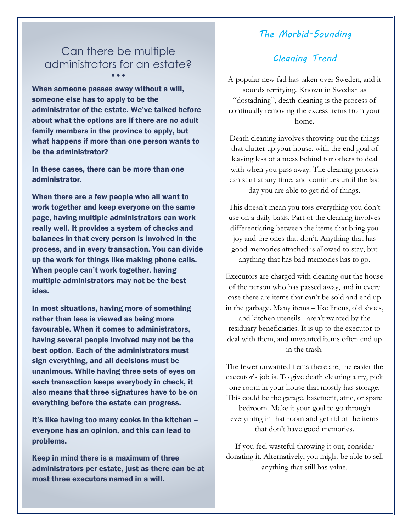#### *The Morbid-Sounding*

#### Can there be multiple administrators for an estate? • • •

When someone passes away without a will, someone else has to apply to be the administrator of the estate. We've talked before about what the options are if there are no adult family members in the province to apply, but what happens if more than one person wants to be the administrator?

In these cases, there can be more than one administrator.

When there are a few people who all want to work together and keep everyone on the same page, having multiple administrators can work really well. It provides a system of checks and balances in that every person is involved in the process, and in every transaction. You can divide up the work for things like making phone calls. When people can't work together, having multiple administrators may not be the best idea.

In most situations, having more of something rather than less is viewed as being more favourable. When it comes to administrators, having several people involved may not be the best option. Each of the administrators must sign everything, and all decisions must be unanimous. While having three sets of eyes on each transaction keeps everybody in check, it also means that three signatures have to be on everything before the estate can progress.

It's like having too many cooks in the kitchen – everyone has an opinion, and this can lead to problems.

Keep in mind there is a maximum of three administrators per estate, just as there can be at most three executors named in a will.

#### *Cleaning Trend*

A popular new fad has taken over Sweden, and it sounds terrifying. Known in Swedish as "dostadning", death cleaning is the process of continually removing the excess items from your home.

Death cleaning involves throwing out the things that clutter up your house, with the end goal of leaving less of a mess behind for others to deal with when you pass away. The cleaning process can start at any time, and continues until the last day you are able to get rid of things.

This doesn't mean you toss everything you don't use on a daily basis. Part of the cleaning involves differentiating between the items that bring you joy and the ones that don't. Anything that has good memories attached is allowed to stay, but anything that has bad memories has to go.

Executors are charged with cleaning out the house of the person who has passed away, and in every case there are items that can't be sold and end up in the garbage. Many items – like linens, old shoes, and kitchen utensils - aren't wanted by the residuary beneficiaries. It is up to the executor to deal with them, and unwanted items often end up in the trash.

The fewer unwanted items there are, the easier the executor's job is. To give death cleaning a try, pick one room in your house that mostly has storage. This could be the garage, basement, attic, or spare bedroom. Make it your goal to go through everything in that room and get rid of the items that don't have good memories.

If you feel wasteful throwing it out, consider donating it. Alternatively, you might be able to sell anything that still has value.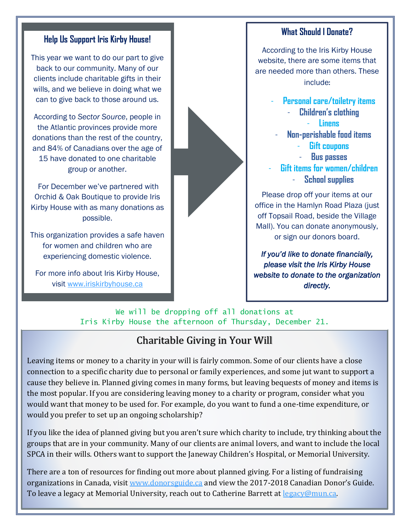#### **Help Us Support Iris Kirby House!**

This year we want to do our part to give back to our community. Many of our clients include charitable gifts in their wills, and we believe in doing what we can to give back to those around us.

According to *Sector Source*, people in the Atlantic provinces provide more donations than the rest of the country, and 84% of Canadians over the age of 15 have donated to one charitable group or another.

For December we've partnered with Orchid & Oak Boutique to provide Iris Kirby House with as many donations as possible.

This organization provides a safe haven for women and children who are experiencing domestic violence.

For more info about Iris Kirby House, visit [www.iriskirbyhouse.ca](http://www.iriskirbyhouse.ca/)



#### **What Should I Donate?**

According to the Iris Kirby House website, there are some items that are needed more than others. These include**:**

> - **Personal care/toiletry items** - **Children's clothing** - **Linens**

- **Non-perishable food items**
	- **Gift coupons**
	- **Bus passes**
- **Gift items for women/children**
	- **School supplies**

Please drop off your items at our office in the Hamlyn Road Plaza (just off Topsail Road, beside the Village Mall). You can donate anonymously, or sign our donors board.

*If you'd like to donate financially, please visit the Iris Kirby House website to donate to the organization directly.* 

We will be dropping off all donations at Iris Kirby House the afternoon of Thursday, December 21.

# Charitable Giving in Your Will

Leaving items or money to a charity in your will is fairly common. Some of our clients have a close connection to a specific charity due to personal or family experiences, and some jut want to support a cause they believe in. Planned giving comes in many forms, but leaving bequests of money and items is the most popular. If you are considering leaving money to a charity or program, consider what you would want that money to be used for. For example, do you want to fund a one-time expenditure, or would you prefer to set up an ongoing scholarship?

If you like the idea of planned giving but you aren't sure which charity to include, try thinking about the groups that are in your community. Many of our clients are animal lovers, and want to include the local SPCA in their wills. Others want to support the Janeway Children's Hospital, or Memorial University.

There are a ton of resources for finding out more about planned giving. For a listing of fundraising organizations in Canada, visit [www.donorsguide.ca](http://www.donorsguide.ca/) and view the 2017-2018 Canadian Donor's Guide. To leave a legacy at Memorial University, reach out to Catherine Barrett at [legacy@mun.ca.](mailto:legacy@mun.ca)